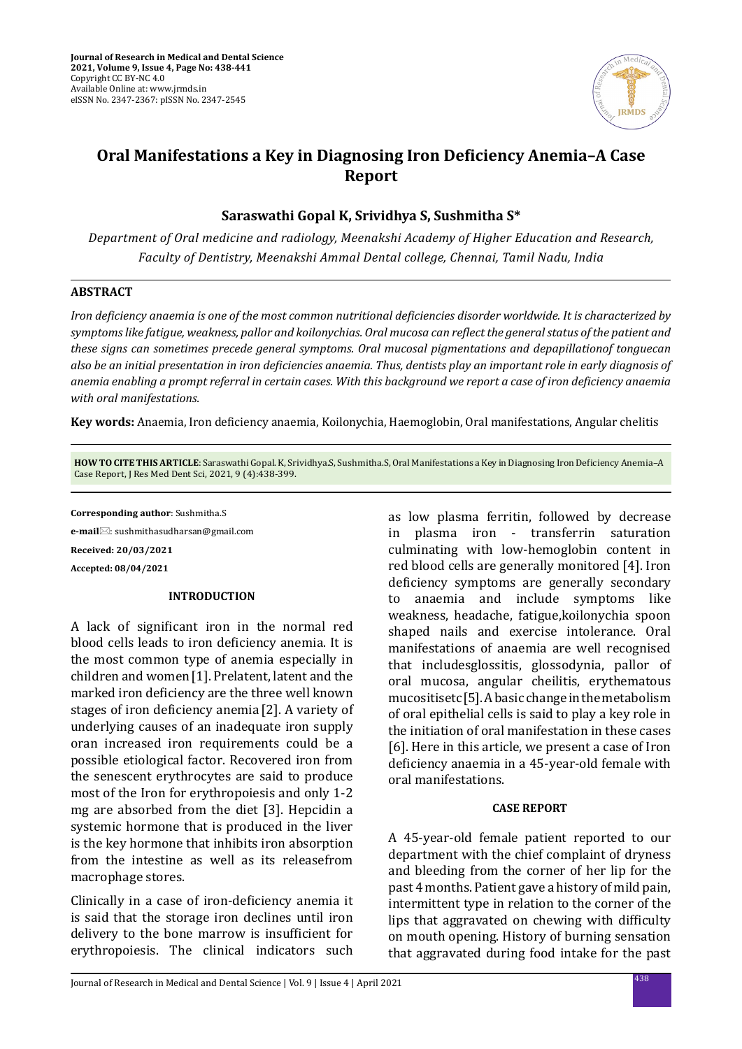

# **Oral Manifestations a Key in Diagnosing Iron Deficiency Anemia–A Case Report**

**Saraswathi Gopal K, Srividhya S, Sushmitha S\***

*Department of Oral medicine and radiology, Meenakshi Academy of Higher Education and Research, Faculty of Dentistry, Meenakshi Ammal Dental college, Chennai, Tamil Nadu, India*

### **ABSTRACT**

*Iron deficiency anaemia is one of the most common nutritional deficiencies disorder worldwide. It is characterized by symptoms like fatigue, weakness, pallor and koilonychias. Oral mucosa can reflect the general status of the patient and these signs can sometimes precede general symptoms. Oral mucosal pigmentations and depapillationof tonguecan also be an initial presentation in iron deficiencies anaemia. Thus, dentists play an important role in early diagnosis of anemia enabling a prompt referral in certain cases. With this background we report a case of iron deficiency anaemia with oral manifestations.*

**Key words:** Anaemia, Iron deficiency anaemia, Koilonychia, Haemoglobin, Oral manifestations, Angular chelitis

**HOW TO CITE THIS ARTICLE**: Saraswathi Gopal. K, Srividhya.S, Sushmitha.S, Oral Manifestations a Key in Diagnosing Iron Deficiency Anemia–A Case Report, J Res Med Dent Sci, 2021, 9 (4):438-399.

**Corresponding author**: Sushmitha.S

**e-mail**: sushmithasudharsan@gmail.com **Received: 20/03/2021 Accepted: 08/04/2021**

### **INTRODUCTION**

A lack of significant iron in the normal red blood cells leads to iron deficiency anemia. It is the most common type of anemia especially in children and women[1]. Prelatent, latent and the marked iron deficiency are the three well known stages of iron deficiency anemia [2]. A variety of underlying causes of an inadequate iron supply oran increased iron requirements could be a possible etiological factor. Recovered iron from the senescent erythrocytes are said to produce most of the Iron for erythropoiesis and only 1-2 mg are absorbed from the diet [3]. Hepcidin a systemic hormone that is produced in the liver is the key hormone that inhibits iron absorption from the intestine as well as its releasefrom macrophage stores.

Clinically in a case of iron-deficiency anemia it is said that the storage iron declines until iron delivery to the bone marrow is insufficient for erythropoiesis. The clinical indicators such as low plasma ferritin, followed by decrease in plasma iron - transferrin saturation culminating with low-hemoglobin content in red blood cells are generally monitored [4]. Iron deficiency symptoms are generally secondary<br>to anaemia and include symptoms like anaemia and include symptoms like weakness, headache, fatigue,koilonychia spoon shaped nails and exercise intolerance. Oral manifestations of anaemia are well recognised that includesglossitis, glossodynia, pallor of oral mucosa, angular cheilitis, erythematous mucositisetc[5]. A basic change in the metabolism of oral epithelial cells is said to play a key role in the initiation of oral manifestation in these cases [6]. Here in this article, we present a case of Iron deficiency anaemia in a 45-year-old female with oral manifestations.

### **CASE REPORT**

A 45-year-old female patient reported to our department with the chief complaint of dryness and bleeding from the corner of her lip for the past 4 months. Patient gave a history of mild pain, intermittent type in relation to the corner of the lips that aggravated on chewing with difficulty on mouth opening. History of burning sensation that aggravated during food intake for the past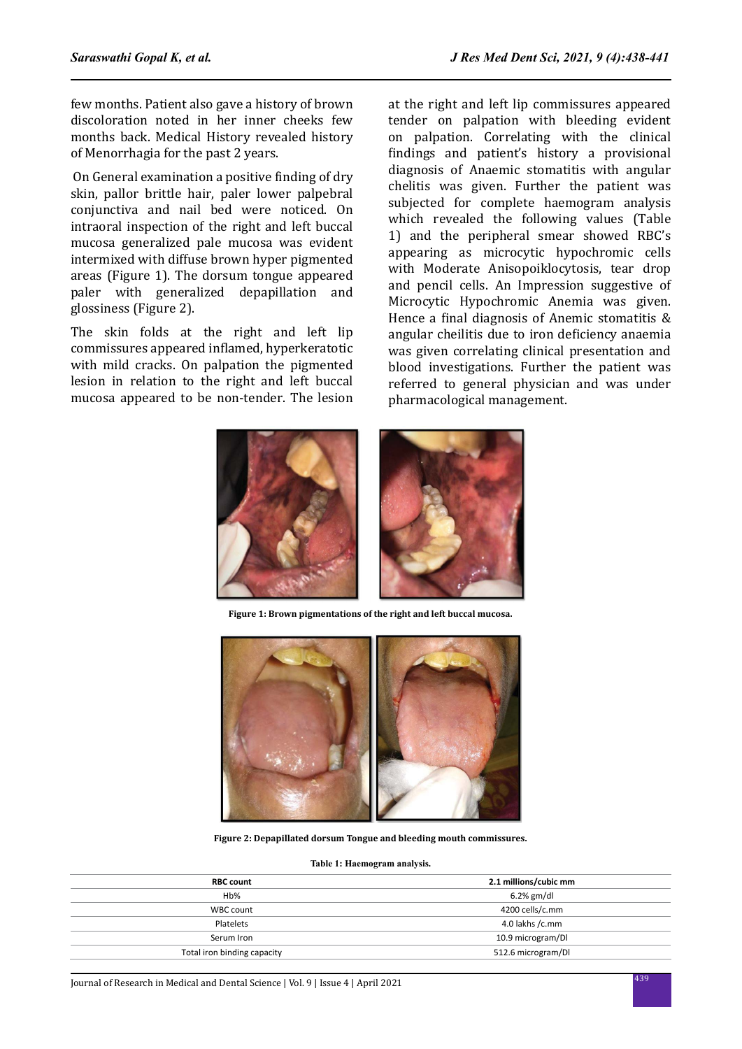few months. Patient also gave a history of brown discoloration noted in her inner cheeks few months back. Medical History revealed history of Menorrhagia for the past 2 years.

 On General examination a positive finding of dry skin, pallor brittle hair, paler lower palpebral conjunctiva and nail bed were noticed. On intraoral inspection of the right and left buccal mucosa generalized pale mucosa was evident intermixed with diffuse brown hyper pigmented areas (Figure 1). The dorsum tongue appeared paler with generalized depapillation and glossiness (Figure 2).

The skin folds at the right and left lip commissures appeared inflamed, hyperkeratotic with mild cracks. On palpation the pigmented lesion in relation to the right and left buccal mucosa appeared to be non-tender. The lesion at the right and left lip commissures appeared tender on palpation with bleeding evident on palpation. Correlating with the clinical findings and patient's history a provisional diagnosis of Anaemic stomatitis with angular chelitis was given. Further the patient was subjected for complete haemogram analysis which revealed the following values (Table 1) and the peripheral smear showed RBC's appearing as microcytic hypochromic cells with Moderate Anisopoiklocytosis, tear drop and pencil cells. An Impression suggestive of Microcytic Hypochromic Anemia was given. Hence a final diagnosis of Anemic stomatitis & angular cheilitis due to iron deficiency anaemia was given correlating clinical presentation and blood investigations. Further the patient was referred to general physician and was under pharmacological management.



**Figure 1: Brown pigmentations of the right and left buccal mucosa.**



**Figure 2: Depapillated dorsum Tongue and bleeding mouth commissures.**

#### **Table 1: Haemogram analysis.**

| <b>RBC count</b>            | 2.1 millions/cubic mm |
|-----------------------------|-----------------------|
| Hb%                         | $6.2%$ gm/dl          |
| WBC count                   | 4200 cells/c.mm       |
| Platelets                   | 4.0 lakhs /c.mm       |
| Serum Iron                  | 10.9 microgram/DI     |
| Total iron binding capacity | 512.6 microgram/DI    |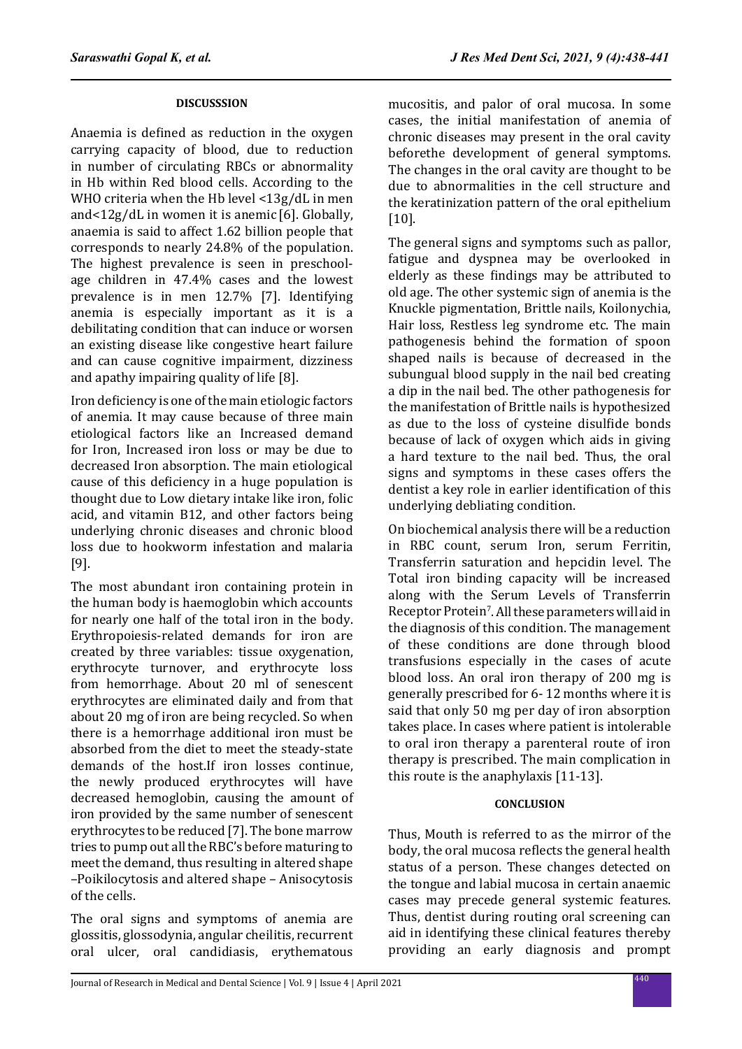## **DISCUSSSION**

Anaemia is defined as reduction in the oxygen carrying capacity of blood, due to reduction in number of circulating RBCs or abnormality in Hb within Red blood cells. According to the WHO criteria when the Hb level <13g/dL in men and<12g/dL in women it is anemic [6]. Globally, anaemia is said to affect 1.62 billion people that corresponds to nearly 24.8% of the population. The highest prevalence is seen in preschoolage children in 47.4% cases and the lowest prevalence is in men 12.7% [7]. Identifying anemia is especially important as it is a debilitating condition that can induce or worsen an existing disease like congestive heart failure and can cause cognitive impairment, dizziness and apathy impairing quality of life [8].

Iron deficiency is one of the main etiologic factors of anemia. It may cause because of three main etiological factors like an Increased demand for Iron, Increased iron loss or may be due to decreased Iron absorption. The main etiological cause of this deficiency in a huge population is thought due to Low dietary intake like iron, folic acid, and vitamin B12, and other factors being underlying chronic diseases and chronic blood loss due to hookworm infestation and malaria [9].

The most abundant iron containing protein in the human body is haemoglobin which accounts for nearly one half of the total iron in the body. Erythropoiesis-related demands for iron are created by three variables: tissue oxygenation, erythrocyte turnover, and erythrocyte loss from hemorrhage. About 20 ml of senescent erythrocytes are eliminated daily and from that about 20 mg of iron are being recycled. So when there is a hemorrhage additional iron must be absorbed from the diet to meet the steady-state demands of the host.If iron losses continue, the newly produced erythrocytes will have decreased hemoglobin, causing the amount of iron provided by the same number of senescent erythrocytes to be reduced [7]. The bone marrow tries to pump out all the RBC's before maturing to meet the demand, thus resulting in altered shape –Poikilocytosis and altered shape – Anisocytosis of the cells.

The oral signs and symptoms of anemia are glossitis, glossodynia, angular cheilitis, recurrent oral ulcer, oral candidiasis, erythematous mucositis, and palor of oral mucosa. In some cases, the initial manifestation of anemia of chronic diseases may present in the oral cavity beforethe development of general symptoms. The changes in the oral cavity are thought to be due to abnormalities in the cell structure and the keratinization pattern of the oral epithelium [10].

The general signs and symptoms such as pallor, fatigue and dyspnea may be overlooked in elderly as these findings may be attributed to old age. The other systemic sign of anemia is the Knuckle pigmentation, Brittle nails, Koilonychia, Hair loss, Restless leg syndrome etc. The main pathogenesis behind the formation of spoon shaped nails is because of decreased in the subungual blood supply in the nail bed creating a dip in the nail bed. The other pathogenesis for the manifestation of Brittle nails is hypothesized as due to the loss of cysteine disulfide bonds because of lack of oxygen which aids in giving a hard texture to the nail bed. Thus, the oral signs and symptoms in these cases offers the dentist a key role in earlier identification of this underlying debliating condition.

On biochemical analysis there will be a reduction in RBC count, serum Iron, serum Ferritin, Transferrin saturation and hepcidin level. The Total iron binding capacity will be increased along with the Serum Levels of Transferrin Receptor Protein<sup>7</sup>. All these parameters will aid in the diagnosis of this condition. The management of these conditions are done through blood transfusions especially in the cases of acute blood loss. An oral iron therapy of 200 mg is generally prescribed for 6- 12 months where it is said that only 50 mg per day of iron absorption takes place. In cases where patient is intolerable to oral iron therapy a parenteral route of iron therapy is prescribed. The main complication in this route is the anaphylaxis [11-13].

### **CONCLUSION**

Thus, Mouth is referred to as the mirror of the body, the oral mucosa reflects the general health status of a person. These changes detected on the tongue and labial mucosa in certain anaemic cases may precede general systemic features. Thus, dentist during routing oral screening can aid in identifying these clinical features thereby providing an early diagnosis and prompt